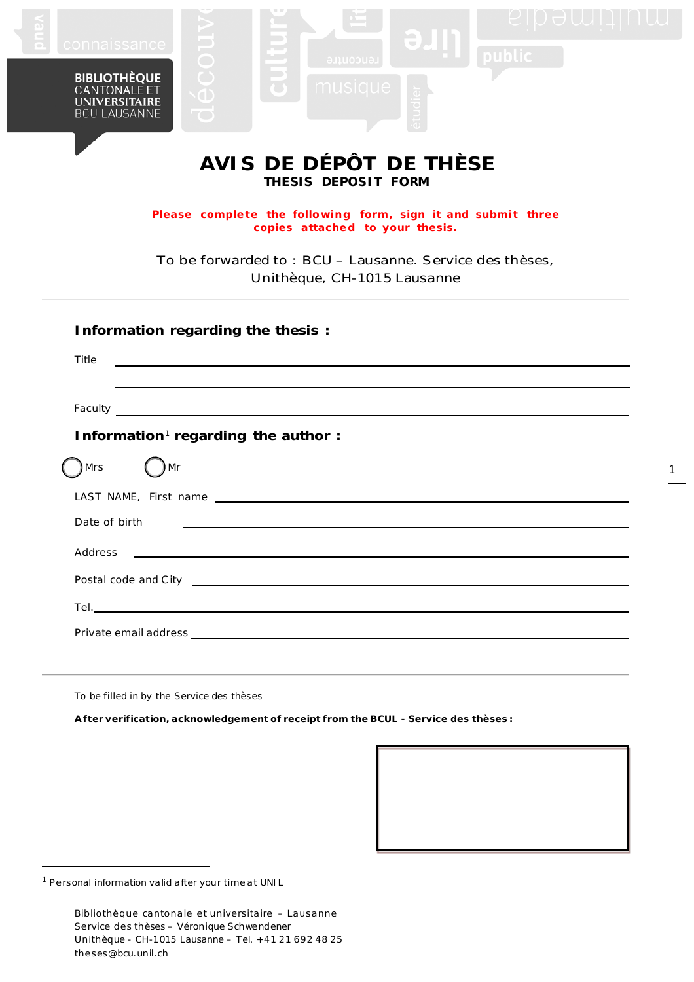| connaissance<br><b>BIBLIOTHÈQUE</b><br><b>CANTONALE ET</b><br><b>UNIVERSITAIRE</b><br><b>BCU LAUSANNE</b> | C<br>Þ<br>$\overline{C}$<br>$\bigcirc$<br>$\overline{\bigcirc}$ | rencontre<br>musique <sup>1</sup> | <b>ell'</b> |  | RINAMITIII |
|-----------------------------------------------------------------------------------------------------------|-----------------------------------------------------------------|-----------------------------------|-------------|--|------------|
| AVIS DE DÉPÔT DE THÈSE<br>THESIS DEPOSIT FORM                                                             |                                                                 |                                   |             |  |            |
|                                                                                                           | Please complete the following form, sign it and submit three    | copies attached to your thesis.   |             |  |            |
|                                                                                                           | To be forwarded to : BCU – Lausanne. Service des thèses,        | Unithèque, CH-1015 Lausanne       |             |  |            |

## **Information regarding the thesis :**

| Title                                                                                                                                                                                                                               |
|-------------------------------------------------------------------------------------------------------------------------------------------------------------------------------------------------------------------------------------|
| Faculty <u>Alexander Account</u> Contract Contract Contract Contract Contract Contract Contract Contract Contract Contract Contract Contract Contract Contract Contract Contract Contract Contract Contract Contract Contract Contr |
| Information <sup>1</sup> regarding the author:                                                                                                                                                                                      |
| ) Mrs<br>) Mr                                                                                                                                                                                                                       |
| LAST NAME, First name                                                                                                                                                                                                               |
|                                                                                                                                                                                                                                     |
|                                                                                                                                                                                                                                     |
| Postal code and City <u>experience</u> and City and Constant of the series of the series of the series of the series of the series of the series of the series of the series of the series of the series of the series of the serie |
|                                                                                                                                                                                                                                     |
|                                                                                                                                                                                                                                     |

*To be filled in by the Service des thèses*

**A fter verification, acknowledgement of receipt from the BCUL - Service des thèses :** 



 $^{\rm 1}$  Personal information valid after your time at UNIL

Bibliothèque cantonale et universitaire - Lausanne Service des thèses – Véronique Schwendener Unithèque - CH-1015 Lausanne – Tel. +41 21 692 48 25 theses@bcu.unil.ch